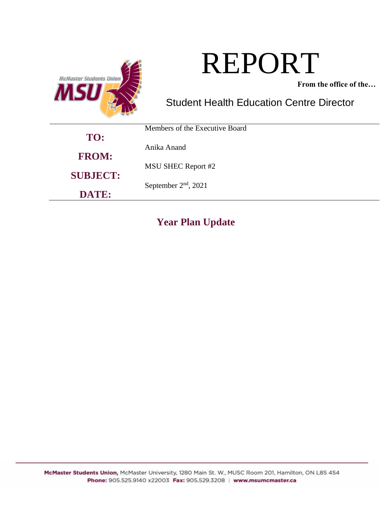

# REPORT

**From the office of the…**

# Student Health Education Centre Director

|                 | Members of the Executive Board |
|-----------------|--------------------------------|
| TO:             |                                |
|                 | Anika Anand                    |
| <b>FROM:</b>    |                                |
|                 | <b>MSU SHEC Report #2</b>      |
| <b>SUBJECT:</b> |                                |
|                 | September $2nd$ , 2021         |
| DATE:           |                                |

# **Year Plan Update**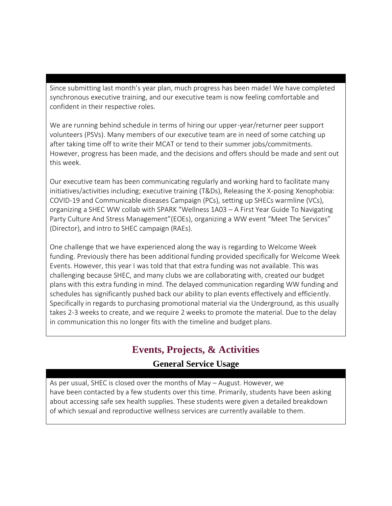Since submitting last month's year plan, much progress has been made! We have completed synchronous executive training, and our executive team is now feeling comfortable and confident in their respective roles.

We are running behind schedule in terms of hiring our upper-year/returner peer support volunteers (PSVs). Many members of our executive team are in need of some catching up after taking time off to write their MCAT or tend to their summer jobs/commitments. However, progress has been made, and the decisions and offers should be made and sent out this week.

Our executive team has been communicating regularly and working hard to facilitate many initiatives/activities including; executive training (T&Ds), Releasing the X-posing Xenophobia: COVID-19 and Communicable diseases Campaign (PCs), setting up SHECs warmline (VCs), organizing a SHEC WW collab with SPARK "Wellness 1A03 – A First Year Guide To Navigating Party Culture And Stress Management"(EOEs), organizing a WW event "Meet The Services" (Director), and intro to SHEC campaign (RAEs).

One challenge that we have experienced along the way is regarding to Welcome Week funding. Previously there has been additional funding provided specifically for Welcome Week Events. However, this year I was told that that extra funding was not available. This was challenging because SHEC, and many clubs we are collaborating with, created our budget plans with this extra funding in mind. The delayed communication regarding WW funding and schedules has significantly pushed back our ability to plan events effectively and efficiently. Specifically in regards to purchasing promotional material via the Underground, as this usually takes 2-3 weeks to create, and we require 2 weeks to promote the material. Due to the delay in communication this no longer fits with the timeline and budget plans.

# **Events, Projects, & Activities**

## **General Service Usage**

As per usual, SHEC is closed over the months of May – August. However, we have been contacted by a few students over this time. Primarily, students have been asking about accessing safe sex health supplies. These students were given a detailed breakdown of which sexual and reproductive wellness services are currently available to them.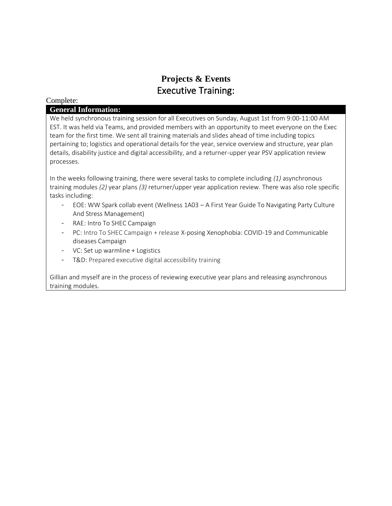## **Projects & Events** Executive Training:

#### Complete:

#### **General Information:**

We held synchronous training session for all Executives on Sunday, August 1st from 9:00-11:00 AM EST. It was held via Teams, and provided members with an opportunity to meet everyone on the Exec team for the first time. We sent all training materials and slides ahead of time including topics pertaining to; logistics and operational details for the year, service overview and structure, year plan details, disability justice and digital accessibility, and a returner-upper year PSV application review processes.

In the weeks following training, there were several tasks to complete including *(1)* asynchronous training modules *(2)* year plans *(3)* returner/upper year application review. There was also role specific tasks including:

- EOE: WW Spark collab event (Wellness 1A03 A First Year Guide To Navigating Party Culture And Stress Management)
- RAE: Intro To SHEC Campaign
- PC: Intro To SHEC Campaign + release X-posing Xenophobia: COVID-19 and Communicable diseases Campaign
- VC: Set up warmline + Logistics
- T&D: Prepared executive digital accessibility training

Gillian and myself are in the process of reviewing executive year plans and releasing asynchronous training modules.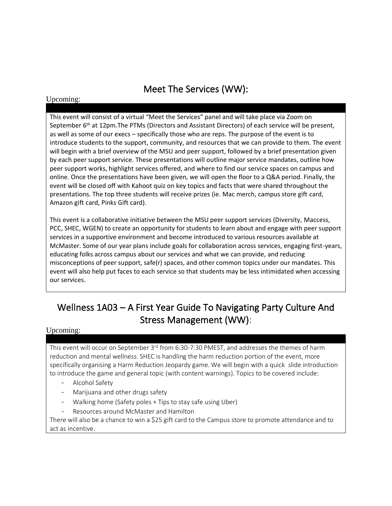# Meet The Services (WW):

#### Upcoming:

This event will consist of a virtual "Meet the Services" panel and will take place via Zoom on September 6<sup>th</sup> at 12pm. The PTMs (Directors and Assistant Directors) of each service will be present, as well as some of our execs – specifically those who are reps. The purpose of the event is to introduce students to the support, community, and resources that we can provide to them. The event will begin with a brief overview of the MSU and peer support, followed by a brief presentation given by each peer support service. These presentations will outline major service mandates, outline how peer support works, highlight services offered, and where to find our service spaces on campus and online. Once the presentations have been given, we will open the floor to a Q&A period. Finally, the event will be closed off with Kahoot quiz on key topics and facts that were shared throughout the presentations. The top three students will receive prizes (ie. Mac merch, campus store gift card, Amazon gift card, Pinks Gift card).

This event is a collaborative initiative between the MSU peer support services (Diversity, Maccess, PCC, SHEC, WGEN) to create an opportunity for students to learn about and engage with peer support services in a supportive environment and become introduced to various resources available at McMaster. Some of our year plans include goals for collaboration across services, engaging first-years, educating folks across campus about our services and what we can provide, and reducing misconceptions of peer support, safe(r) spaces, and other common topics under our mandates. This event will also help put faces to each service so that students may be less intimidated when accessing our services.

# Wellness 1A03 – A First Year Guide To Navigating Party Culture And Stress Management (WW):

#### Upcoming:

This event will occur on September 3<sup>rd</sup> from 6:30-7:30 PMEST, and addresses the themes of harm reduction and mental wellness. SHEC is handling the harm reduction portion of the event, more specifically organising a Harm Reduction Jeopardy game. We will begin with a quick slide introduction to introduce the game and general topic (with content warnings). Topics to be covered include:

- Alcohol Safety
- Marijuana and other drugs safety
- Walking home (Safety poles + Tips to stay safe using Uber)
- Resources around McMaster and Hamilton

There will also be a chance to win a \$25 gift card to the Campus store to promote attendance and to act as incentive.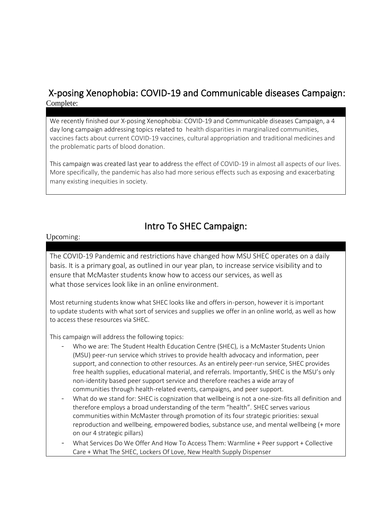## X-posing Xenophobia: COVID-19 and Communicable diseases Campaign: Complete:

We recently finished our X-posing Xenophobia: COVID-19 and Communicable diseases Campaign, a 4 day long campaign addressing topics related to health disparities in marginalized communities, vaccines facts about current COVID-19 vaccines, cultural appropriation and traditional medicines and the problematic parts of blood donation.

This campaign was created last year to address the effect of COVID-19 in almost all aspects of our lives. More specifically, the pandemic has also had more serious effects such as exposing and exacerbating many existing inequities in society.

## Intro To SHEC Campaign:

#### Upcoming:

The COVID-19 Pandemic and restrictions have changed how MSU SHEC operates on a daily basis. It is a primary goal, as outlined in our year plan, to increase service visibility and to ensure that McMaster students know how to access our services, as well as what those services look like in an online environment.

Most returning students know what SHEC looks like and offers in-person, however it is important to update students with what sort of services and supplies we offer in an online world, as well as how to access these resources via SHEC.

This campaign will address the following topics:

- Who we are: The Student Health Education Centre (SHEC), is a McMaster Students Union (MSU) peer-run service which strives to provide health advocacy and information, peer support, and connection to other resources. As an entirely peer-run service, SHEC provides free health supplies, educational material, and referrals. Importantly, SHEC is the MSU's only non-identity based peer support service and therefore reaches a wide array of communities through health-related events, campaigns, and peer support.
- What do we stand for: SHEC is cognization that wellbeing is not a one-size-fits all definition and therefore employs a broad understanding of the term "health". SHEC serves various communities within McMaster through promotion of its four strategic priorities: sexual reproduction and wellbeing, empowered bodies, substance use, and mental wellbeing (+ more on our 4 strategic pillars)
- What Services Do We Offer And How To Access Them: Warmline + Peer support + Collective Care + What The SHEC, Lockers Of Love, New Health Supply Dispenser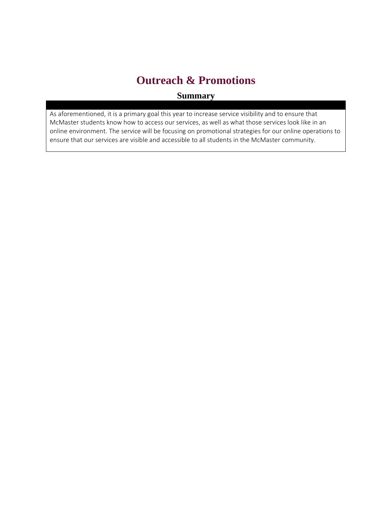# **Outreach & Promotions**

## **Summary**

As aforementioned, it is a primary goal this year to increase service visibility and to ensure that McMaster students know how to access our services, as well as what those services look like in an online environment. The service will be focusing on promotional strategies for our online operations to ensure that our services are visible and accessible to all students in the McMaster community.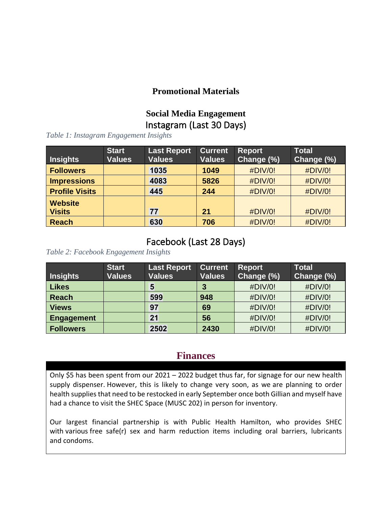## **Promotional Materials**

## **Social Media Engagement** Instagram (Last 30 Days)

*Table 1: Instagram Engagement Insights*

| <b>Insights</b>       | <b>Start</b><br><b>Values</b> | <b>Last Report</b><br><b>Values</b> | <b>Current</b><br><b>Values</b> | <b>Report</b><br>Change (%) | <b>Total</b><br>Change (%) |
|-----------------------|-------------------------------|-------------------------------------|---------------------------------|-----------------------------|----------------------------|
| <b>Followers</b>      |                               | 1035                                | 1049                            | #DIV/0!                     | #DIV/0!                    |
| <b>Impressions</b>    |                               | 4083                                | 5826                            | #DIV/0!                     | #DIV/0!                    |
| <b>Profile Visits</b> |                               | 445                                 | 244                             | #DIV/0!                     | #DIV/0!                    |
| <b>Website</b>        |                               |                                     |                                 |                             |                            |
| <b>Visits</b>         |                               | 77                                  | 21                              | #DIV/0!                     | #DIV/0!                    |
| <b>Reach</b>          |                               | 630                                 | 706                             | #DIV/0!                     | #DIV/0!                    |

## Facebook (Last 28 Days)

*Table 2: Facebook Engagement Insights*

| <b>Insights</b>   | <b>Start</b><br><b>Values</b> | <b>Last Report</b><br><b>Values</b> | <b>Current</b><br><b>Values</b> | <b>Report</b><br>Change (%) | <b>Total</b><br>Change (%) |
|-------------------|-------------------------------|-------------------------------------|---------------------------------|-----------------------------|----------------------------|
| <b>Likes</b>      |                               | 5                                   | 3                               | #DIV/0!                     | #DIV/0!                    |
| <b>Reach</b>      |                               | 599                                 | 948                             | #DIV/0!                     | #DIV/0!                    |
| <b>Views</b>      |                               | 97                                  | 69                              | #DIV/0!                     | #DIV/0!                    |
| <b>Engagement</b> |                               | 21                                  | 56                              | #DIV/0!                     | #DIV/0!                    |
| <b>Followers</b>  |                               | 2502                                | 2430                            | #DIV/0!                     | #DIV/0!                    |

## **Finances**

Only \$5 has been spent from our 2021 – 2022 budget thus far, for signage for our new health supply dispenser. However, this is likely to change very soon, as we are planning to order health supplies that need to be restocked in early September once both Gillian and myself have had a chance to visit the SHEC Space (MUSC 202) in person for inventory.

Our largest financial partnership is with Public Health Hamilton, who provides SHEC with various free safe(r) sex and harm reduction items including oral barriers, lubricants and condoms.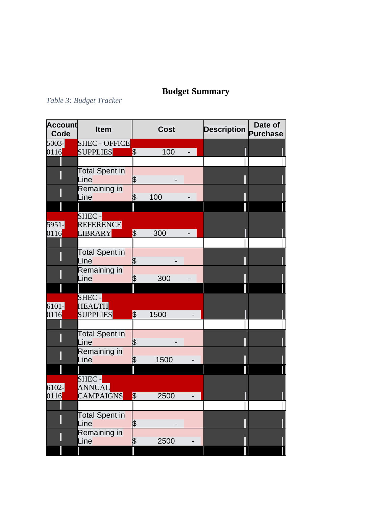# **Budget Summary**

# *Table 3: Budget Tracker*

| <b>Account</b><br>Code | <b>Item</b>           |                          | <b>Cost</b> | <b>Description</b> | Date of<br><b>Purchase</b> |
|------------------------|-----------------------|--------------------------|-------------|--------------------|----------------------------|
| 5003-                  | <b>SHEC - OFFICE</b>  |                          |             |                    |                            |
| 0116                   | <b>SUPPLIES</b>       | $\frac{1}{2}$            | 100         |                    |                            |
|                        |                       |                          |             |                    |                            |
|                        | <b>Total Spent in</b> |                          |             |                    |                            |
|                        | Line                  | \$                       |             |                    |                            |
|                        | Remaining in          |                          |             |                    |                            |
|                        | Line                  | \$                       | 100         |                    |                            |
|                        |                       |                          |             |                    |                            |
|                        | SHEC -                |                          |             |                    |                            |
| 5951-                  | REFERENCE             |                          |             |                    |                            |
| 0116                   | <b>LIBRARY</b>        | $\frac{1}{2}$            | 300         |                    |                            |
|                        |                       |                          |             |                    |                            |
|                        | Total Spent in        |                          |             |                    |                            |
|                        | Line                  | \$                       |             |                    |                            |
|                        | Remaining in          |                          |             |                    |                            |
|                        | Line                  | \$                       | 300         |                    |                            |
|                        |                       |                          |             |                    |                            |
|                        | SHEC -                |                          |             |                    |                            |
| 6101-                  | <b>HEALTH</b>         |                          |             |                    |                            |
| 0116                   | <b>SUPPLIES</b>       | $\overline{\mathcal{S}}$ | 1500        |                    |                            |
|                        |                       |                          |             |                    |                            |
|                        | Total Spent in        |                          |             |                    |                            |
|                        | Line                  | \$                       |             |                    |                            |
|                        | Remaining in<br>Line  | \$                       | 1500        |                    |                            |
|                        |                       |                          |             |                    |                            |
|                        | SHEC -                |                          |             |                    |                            |
| $6102 -$               | <b>ANNUAL</b>         |                          |             |                    |                            |
| 0116                   | <b>CAMPAIGNS</b>      | $\frac{1}{2}$            | 2500        |                    |                            |
|                        |                       |                          |             |                    |                            |
|                        | <b>Total Spent in</b> |                          |             |                    |                            |
|                        | Line                  | \$                       |             |                    |                            |
|                        | Remaining in          |                          |             |                    |                            |
|                        | Line                  | \$                       | 2500        |                    |                            |
|                        |                       |                          |             |                    |                            |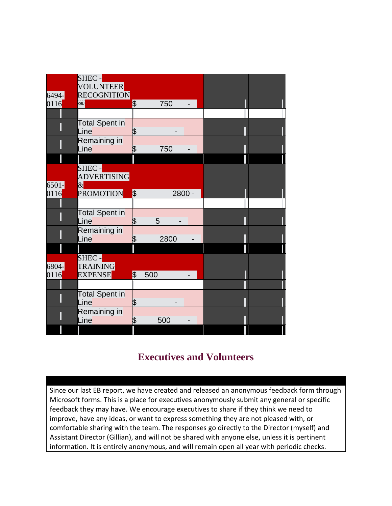|          | SHEC -<br><b>VOLUNTEER</b> |                          |      |        |  |  |
|----------|----------------------------|--------------------------|------|--------|--|--|
| 6494-    | RECOGNITION                |                          |      |        |  |  |
| 0116     | OBJ <mark>i</mark>         | $\overline{\mathcal{S}}$ | 750  |        |  |  |
|          |                            |                          |      |        |  |  |
|          | Total Spent in             |                          |      |        |  |  |
|          | Line                       | \$                       |      |        |  |  |
|          | Remaining in               |                          |      |        |  |  |
|          | Line                       | \$                       | 750  |        |  |  |
|          |                            |                          |      |        |  |  |
|          | SHEC -                     |                          |      |        |  |  |
|          | <b>ADVERTISING</b>         |                          |      |        |  |  |
| $6501 -$ | $\&$                       |                          |      |        |  |  |
| 0116     | PROMOTION                  | $\frac{1}{2}$            |      | 2800 - |  |  |
|          |                            |                          |      |        |  |  |
|          | <b>Total Spent in</b>      |                          |      |        |  |  |
|          | Line                       | \$                       | 5    |        |  |  |
|          | Remaining in               |                          |      |        |  |  |
|          | Line                       | \$                       | 2800 |        |  |  |
|          |                            |                          |      |        |  |  |
|          | SHEC -                     |                          |      |        |  |  |
| 6804-    | <b>TRAINING</b>            |                          |      |        |  |  |
| 0116     | <b>EXPENSE</b>             | $\overline{\mathcal{E}}$ | 500  |        |  |  |
|          |                            |                          |      |        |  |  |
|          | <b>Total Spent in</b>      |                          |      |        |  |  |
|          | Line                       | \$                       |      |        |  |  |
|          | Remaining in               |                          |      |        |  |  |
|          | Line                       | \$                       | 500  |        |  |  |
|          |                            |                          |      |        |  |  |

# **Executives and Volunteers**

Since our last EB report, we have created and released an anonymous feedback form through Microsoft forms. This is a place for executives anonymously submit any general or specific feedback they may have. We encourage executives to share if they think we need to improve, have any ideas, or want to express something they are not pleased with, or comfortable sharing with the team. The responses go directly to the Director (myself) and Assistant Director (Gillian), and will not be shared with anyone else, unless it is pertinent information. It is entirely anonymous, and will remain open all year with periodic checks.